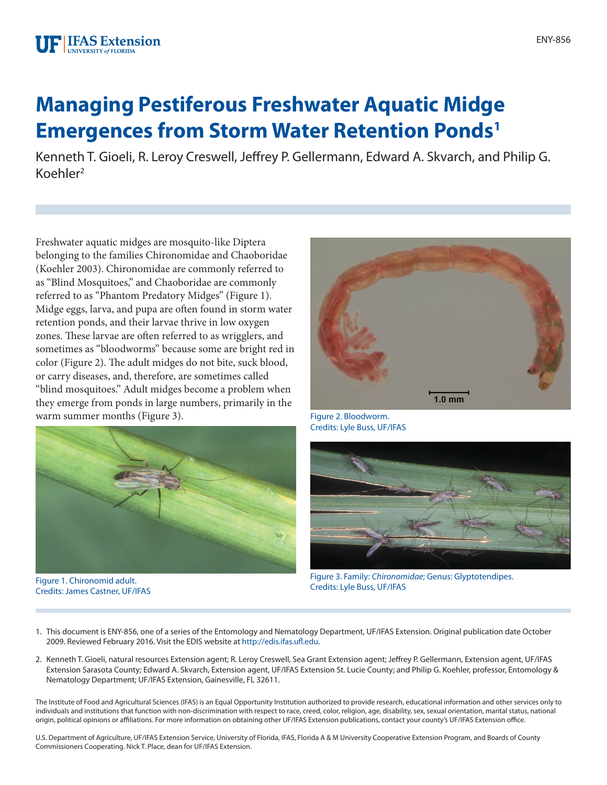# **Managing Pestiferous Freshwater Aquatic Midge Emergences from Storm Water Retention Ponds1**

Kenneth T. Gioeli, R. Leroy Creswell, Jeffrey P. Gellermann, Edward A. Skvarch, and Philip G. Koehler2

Freshwater aquatic midges are mosquito-like Diptera belonging to the families Chironomidae and Chaoboridae (Koehler 2003). Chironomidae are commonly referred to as "Blind Mosquitoes," and Chaoboridae are commonly referred to as "Phantom Predatory Midges" (Figure 1). Midge eggs, larva, and pupa are often found in storm water retention ponds, and their larvae thrive in low oxygen zones. These larvae are often referred to as wrigglers, and sometimes as "bloodworms" because some are bright red in color (Figure 2). The adult midges do not bite, suck blood, or carry diseases, and, therefore, are sometimes called "blind mosquitoes." Adult midges become a problem when they emerge from ponds in large numbers, primarily in the warm summer months (Figure 3).



Figure 1. Chironomid adult. Credits: James Castner, UF/IFAS



Figure 2. Bloodworm. Credits: Lyle Buss, UF/IFAS



Figure 3. Family: *Chironomidae*; Genus: Glyptotendipes. Credits: Lyle Buss, UF/IFAS

- 1. This document is ENY-856, one of a series of the Entomology and Nematology Department, UF/IFAS Extension. Original publication date October 2009. Reviewed February 2016. Visit the EDIS website at<http://edis.ifas.ufl.edu>.
- 2. Kenneth T. Gioeli, natural resources Extension agent; R. Leroy Creswell, Sea Grant Extension agent; Jeffrey P. Gellermann, Extension agent, UF/IFAS Extension Sarasota County; Edward A. Skvarch, Extension agent, UF/IFAS Extension St. Lucie County; and Philip G. Koehler, professor, Entomology & Nematology Department; UF/IFAS Extension, Gainesville, FL 32611.

The Institute of Food and Agricultural Sciences (IFAS) is an Equal Opportunity Institution authorized to provide research, educational information and other services only to individuals and institutions that function with non-discrimination with respect to race, creed, color, religion, age, disability, sex, sexual orientation, marital status, national origin, political opinions or affiliations. For more information on obtaining other UF/IFAS Extension publications, contact your county's UF/IFAS Extension office.

U.S. Department of Agriculture, UF/IFAS Extension Service, University of Florida, IFAS, Florida A & M University Cooperative Extension Program, and Boards of County Commissioners Cooperating. Nick T. Place, dean for UF/IFAS Extension.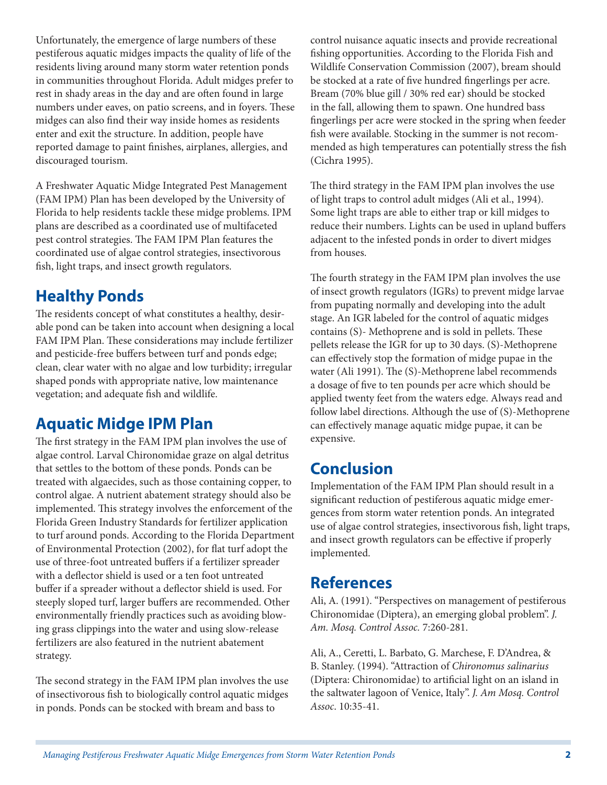Unfortunately, the emergence of large numbers of these pestiferous aquatic midges impacts the quality of life of the residents living around many storm water retention ponds in communities throughout Florida. Adult midges prefer to rest in shady areas in the day and are often found in large numbers under eaves, on patio screens, and in foyers. These midges can also find their way inside homes as residents enter and exit the structure. In addition, people have reported damage to paint finishes, airplanes, allergies, and discouraged tourism.

A Freshwater Aquatic Midge Integrated Pest Management (FAM IPM) Plan has been developed by the University of Florida to help residents tackle these midge problems. IPM plans are described as a coordinated use of multifaceted pest control strategies. The FAM IPM Plan features the coordinated use of algae control strategies, insectivorous fish, light traps, and insect growth regulators.

## **Healthy Ponds**

The residents concept of what constitutes a healthy, desirable pond can be taken into account when designing a local FAM IPM Plan. These considerations may include fertilizer and pesticide-free buffers between turf and ponds edge; clean, clear water with no algae and low turbidity; irregular shaped ponds with appropriate native, low maintenance vegetation; and adequate fish and wildlife.

## **Aquatic Midge IPM Plan**

The first strategy in the FAM IPM plan involves the use of algae control. Larval Chironomidae graze on algal detritus that settles to the bottom of these ponds. Ponds can be treated with algaecides, such as those containing copper, to control algae. A nutrient abatement strategy should also be implemented. This strategy involves the enforcement of the Florida Green Industry Standards for fertilizer application to turf around ponds. According to the Florida Department of Environmental Protection (2002), for flat turf adopt the use of three-foot untreated buffers if a fertilizer spreader with a deflector shield is used or a ten foot untreated buffer if a spreader without a deflector shield is used. For steeply sloped turf, larger buffers are recommended. Other environmentally friendly practices such as avoiding blowing grass clippings into the water and using slow-release fertilizers are also featured in the nutrient abatement strategy.

The second strategy in the FAM IPM plan involves the use of insectivorous fish to biologically control aquatic midges in ponds. Ponds can be stocked with bream and bass to

control nuisance aquatic insects and provide recreational fishing opportunities. According to the Florida Fish and Wildlife Conservation Commission (2007), bream should be stocked at a rate of five hundred fingerlings per acre. Bream (70% blue gill / 30% red ear) should be stocked in the fall, allowing them to spawn. One hundred bass fingerlings per acre were stocked in the spring when feeder fish were available. Stocking in the summer is not recommended as high temperatures can potentially stress the fish (Cichra 1995).

The third strategy in the FAM IPM plan involves the use of light traps to control adult midges (Ali et al., 1994). Some light traps are able to either trap or kill midges to reduce their numbers. Lights can be used in upland buffers adjacent to the infested ponds in order to divert midges from houses.

The fourth strategy in the FAM IPM plan involves the use of insect growth regulators (IGRs) to prevent midge larvae from pupating normally and developing into the adult stage. An IGR labeled for the control of aquatic midges contains (S)- Methoprene and is sold in pellets. These pellets release the IGR for up to 30 days. (S)-Methoprene can effectively stop the formation of midge pupae in the water (Ali 1991). The (S)-Methoprene label recommends a dosage of five to ten pounds per acre which should be applied twenty feet from the waters edge. Always read and follow label directions. Although the use of (S)-Methoprene can effectively manage aquatic midge pupae, it can be expensive.

## **Conclusion**

Implementation of the FAM IPM Plan should result in a significant reduction of pestiferous aquatic midge emergences from storm water retention ponds. An integrated use of algae control strategies, insectivorous fish, light traps, and insect growth regulators can be effective if properly implemented.

### **References**

Ali, A. (1991). "Perspectives on management of pestiferous Chironomidae (Diptera), an emerging global problem". *J. Am. Mosq. Control Assoc.* 7:260-281.

Ali, A., Ceretti, L. Barbato, G. Marchese, F. D'Andrea, & B. Stanley. (1994). "Attraction of *Chironomus salinarius* (Diptera: Chironomidae) to artificial light on an island in the saltwater lagoon of Venice, Italy". *J. Am Mosq. Control Assoc*. 10:35-41.